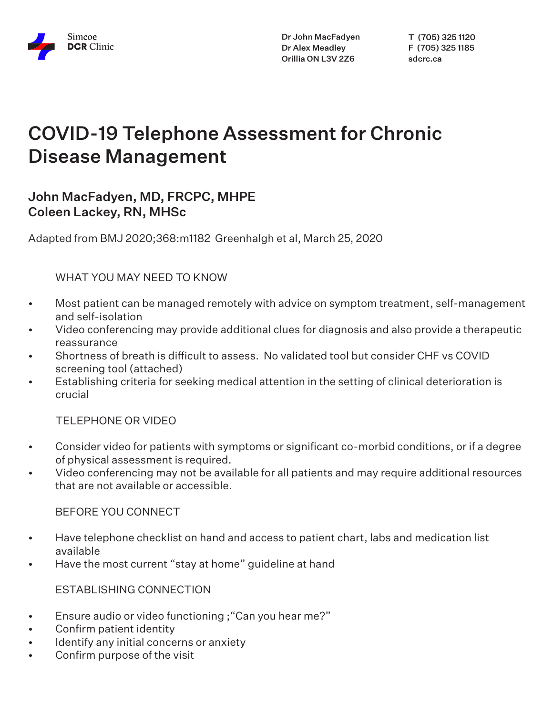

Dr John MacFadyen Dr Alex Meadley Orillia ON L3V 2Z6

T (705) 325 1120 F (705) 325 1185 sdcrc.ca

# COVID-19 Telephone Assessment for Chronic Disease Management

# John MacFadyen, MD, FRCPC, MHPE Coleen Lackey, RN, MHSc

Adapted from BMJ 2020;368:m1182 Greenhalgh et al, March 25, 2020

#### WHAT YOU MAY NEED TO KNOW

- Most patient can be managed remotely with advice on symptom treatment, self-management and self-isolation
- Video conferencing may provide additional clues for diagnosis and also provide a therapeutic reassurance
- Shortness of breath is difficult to assess. No validated tool but consider CHF vs COVID screening tool (attached)
- Establishing criteria for seeking medical attention in the setting of clinical deterioration is crucial

TELEPHONE OR VIDEO

- Consider video for patients with symptoms or significant co-morbid conditions, or if a degree of physical assessment is required.
- Video conferencing may not be available for all patients and may require additional resources that are not available or accessible.

BEFORE YOU CONNECT

- Have telephone checklist on hand and access to patient chart, labs and medication list available
- Have the most current "stay at home" guideline at hand

ESTABLISHING CONNECTION

- Ensure audio or video functioning ;"Can you hear me?"
- Confirm patient identity
- Identify any initial concerns or anxiety
- Confirm purpose of the visit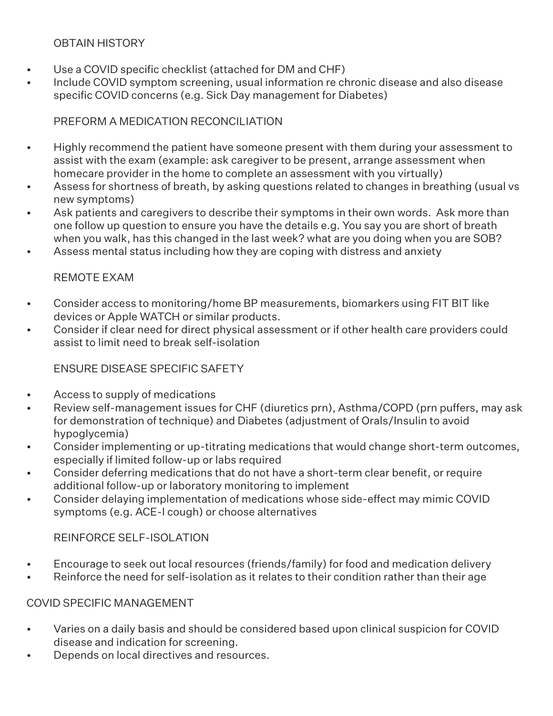#### OBTAIN HISTORY

- Use a COVID specific checklist (attached for DM and CHF)
- Include COVID symptom screening, usual information re chronic disease and also disease specific COVID concerns (e.g. Sick Day management for Diabetes)

## PREFORM A MEDICATION RECONCILIATION

- Highly recommend the patient have someone present with them during your assessment to assist with the exam (example: ask caregiver to be present, arrange assessment when homecare provider in the home to complete an assessment with you virtually)
- Assess for shortness of breath, by asking questions related to changes in breathing (usual vs new symptoms)
- Ask patients and caregivers to describe their symptoms in their own words. Ask more than one follow up question to ensure you have the details e.g. You say you are short of breath when you walk, has this changed in the last week? what are you doing when you are SOB?
- Assess mental status including how they are coping with distress and anxiety

## REMOTE EXAM

- Consider access to monitoring/home BP measurements, biomarkers using FIT BIT like devices or Apple WATCH or similar products.
- Consider if clear need for direct physical assessment or if other health care providers could assist to limit need to break self-isolation

### ENSURE DISEASE SPECIFIC SAFETY

- Access to supply of medications
- Review self-management issues for CHF (diuretics prn), Asthma/COPD (prn puffers, may ask for demonstration of technique) and Diabetes (adjustment of Orals/Insulin to avoid hypoglycemia)
- Consider implementing or up-titrating medications that would change short-term outcomes, especially if limited follow-up or labs required
- Consider deferring medications that do not have a short-term clear benefit, or require additional follow-up or laboratory monitoring to implement
- Consider delaying implementation of medications whose side-effect may mimic COVID symptoms (e.g. ACE-I cough) or choose alternatives

### REINFORCE SELF-ISOLATION

- Encourage to seek out local resources (friends/family) for food and medication delivery
- Reinforce the need for self-isolation as it relates to their condition rather than their age

### COVID SPECIFIC MANAGEMENT

- Varies on a daily basis and should be considered based upon clinical suspicion for COVID disease and indication for screening.
- Depends on local directives and resources.